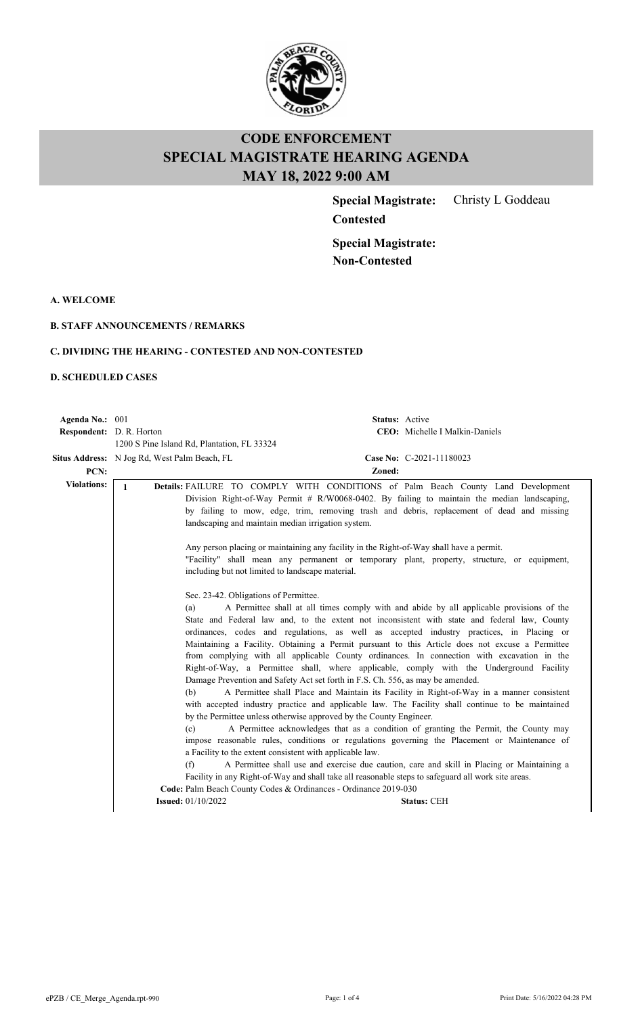

**Special Magistrate:** Christy L Goddeau

**Special Magistrate: Non-Contested**

**Contested**

**A. WELCOME**

#### **B. STAFF ANNOUNCEMENTS / REMARKS**

### **C. DIVIDING THE HEARING - CONTESTED AND NON-CONTESTED**

#### **D. SCHEDULED CASES**

| Agenda No.: 001          |                                                                                                                                                                                                                                                         | Status: Active                                                                                                                                                                                                                                                                                                                                                                                                                                                                                                                                                                                                                                                                                                                                                                                                                                                                                                                                                                                                                                                                                                                                                                                                                                                                                                                                                                                                                                                                                                                                                                                                                                                                                         |  |
|--------------------------|---------------------------------------------------------------------------------------------------------------------------------------------------------------------------------------------------------------------------------------------------------|--------------------------------------------------------------------------------------------------------------------------------------------------------------------------------------------------------------------------------------------------------------------------------------------------------------------------------------------------------------------------------------------------------------------------------------------------------------------------------------------------------------------------------------------------------------------------------------------------------------------------------------------------------------------------------------------------------------------------------------------------------------------------------------------------------------------------------------------------------------------------------------------------------------------------------------------------------------------------------------------------------------------------------------------------------------------------------------------------------------------------------------------------------------------------------------------------------------------------------------------------------------------------------------------------------------------------------------------------------------------------------------------------------------------------------------------------------------------------------------------------------------------------------------------------------------------------------------------------------------------------------------------------------------------------------------------------------|--|
| Respondent: D. R. Horton |                                                                                                                                                                                                                                                         | <b>CEO:</b> Michelle I Malkin-Daniels                                                                                                                                                                                                                                                                                                                                                                                                                                                                                                                                                                                                                                                                                                                                                                                                                                                                                                                                                                                                                                                                                                                                                                                                                                                                                                                                                                                                                                                                                                                                                                                                                                                                  |  |
|                          | 1200 S Pine Island Rd, Plantation, FL 33324                                                                                                                                                                                                             |                                                                                                                                                                                                                                                                                                                                                                                                                                                                                                                                                                                                                                                                                                                                                                                                                                                                                                                                                                                                                                                                                                                                                                                                                                                                                                                                                                                                                                                                                                                                                                                                                                                                                                        |  |
|                          | <b>Situs Address:</b> N Jog Rd, West Palm Beach, FL                                                                                                                                                                                                     | Case No: C-2021-11180023                                                                                                                                                                                                                                                                                                                                                                                                                                                                                                                                                                                                                                                                                                                                                                                                                                                                                                                                                                                                                                                                                                                                                                                                                                                                                                                                                                                                                                                                                                                                                                                                                                                                               |  |
| PCN:                     |                                                                                                                                                                                                                                                         | Zoned:                                                                                                                                                                                                                                                                                                                                                                                                                                                                                                                                                                                                                                                                                                                                                                                                                                                                                                                                                                                                                                                                                                                                                                                                                                                                                                                                                                                                                                                                                                                                                                                                                                                                                                 |  |
| <b>Violations:</b>       | $\mathbf{1}$<br>landscaping and maintain median irrigation system.<br>including but not limited to landscape material.<br>Sec. 23-42. Obligations of Permittee.<br>(a)<br>(b)<br>(c)<br>a Facility to the extent consistent with applicable law.<br>(f) | Details: FAILURE TO COMPLY WITH CONDITIONS of Palm Beach County Land Development<br>Division Right-of-Way Permit # R/W0068-0402. By failing to maintain the median landscaping,<br>by failing to mow, edge, trim, removing trash and debris, replacement of dead and missing<br>Any person placing or maintaining any facility in the Right-of-Way shall have a permit.<br>"Facility" shall mean any permanent or temporary plant, property, structure, or equipment,<br>A Permittee shall at all times comply with and abide by all applicable provisions of the<br>State and Federal law and, to the extent not inconsistent with state and federal law, County<br>ordinances, codes and regulations, as well as accepted industry practices, in Placing or<br>Maintaining a Facility. Obtaining a Permit pursuant to this Article does not excuse a Permittee<br>from complying with all applicable County ordinances. In connection with excavation in the<br>Right-of-Way, a Permittee shall, where applicable, comply with the Underground Facility<br>Damage Prevention and Safety Act set forth in F.S. Ch. 556, as may be amended.<br>A Permittee shall Place and Maintain its Facility in Right-of-Way in a manner consistent<br>with accepted industry practice and applicable law. The Facility shall continue to be maintained<br>by the Permittee unless otherwise approved by the County Engineer.<br>A Permittee acknowledges that as a condition of granting the Permit, the County may<br>impose reasonable rules, conditions or regulations governing the Placement or Maintenance of<br>A Permittee shall use and exercise due caution, care and skill in Placing or Maintaining a |  |
|                          |                                                                                                                                                                                                                                                         | Facility in any Right-of-Way and shall take all reasonable steps to safeguard all work site areas.                                                                                                                                                                                                                                                                                                                                                                                                                                                                                                                                                                                                                                                                                                                                                                                                                                                                                                                                                                                                                                                                                                                                                                                                                                                                                                                                                                                                                                                                                                                                                                                                     |  |
|                          | Code: Palm Beach County Codes & Ordinances - Ordinance 2019-030                                                                                                                                                                                         |                                                                                                                                                                                                                                                                                                                                                                                                                                                                                                                                                                                                                                                                                                                                                                                                                                                                                                                                                                                                                                                                                                                                                                                                                                                                                                                                                                                                                                                                                                                                                                                                                                                                                                        |  |
|                          | <b>Issued:</b> 01/10/2022                                                                                                                                                                                                                               | <b>Status: CEH</b>                                                                                                                                                                                                                                                                                                                                                                                                                                                                                                                                                                                                                                                                                                                                                                                                                                                                                                                                                                                                                                                                                                                                                                                                                                                                                                                                                                                                                                                                                                                                                                                                                                                                                     |  |
|                          |                                                                                                                                                                                                                                                         |                                                                                                                                                                                                                                                                                                                                                                                                                                                                                                                                                                                                                                                                                                                                                                                                                                                                                                                                                                                                                                                                                                                                                                                                                                                                                                                                                                                                                                                                                                                                                                                                                                                                                                        |  |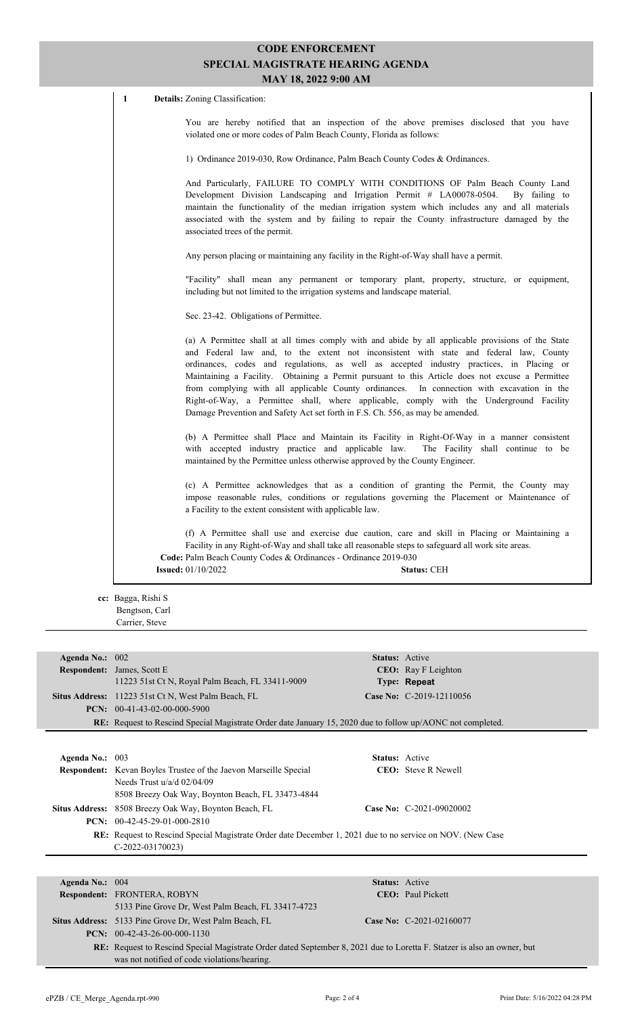1 **Details:** Zoning Classification:

You are hereby notified that an inspection of the above premises disclosed that you have violated one or more codes of Palm Beach County, Florida as follows:

1) Ordinance 2019-030, Row Ordinance, Palm Beach County Codes & Ordinances.

And Particularly, FAILURE TO COMPLY WITH CONDITIONS OF Palm Beach County Land Development Division Landscaping and Irrigation Permit # LA00078-0504. By failing to maintain the functionality of the median irrigation system which includes any and all materials associated with the system and by failing to repair the County infrastructure damaged by the associated trees of the permit.

Any person placing or maintaining any facility in the Right-of-Way shall have a permit.

"Facility" shall mean any permanent or temporary plant, property, structure, or equipment, including but not limited to the irrigation systems and landscape material.

Sec. 23-42. Obligations of Permittee.

(a) A Permittee shall at all times comply with and abide by all applicable provisions of the State and Federal law and, to the extent not inconsistent with state and federal law, County ordinances, codes and regulations, as well as accepted industry practices, in Placing or Maintaining a Facility. Obtaining a Permit pursuant to this Article does not excuse a Permittee from complying with all applicable County ordinances. In connection with excavation in the Right-of-Way, a Permittee shall, where applicable, comply with the Underground Facility Damage Prevention and Safety Act set forth in F.S. Ch. 556, as may be amended.

(b) A Permittee shall Place and Maintain its Facility in Right-Of-Way in a manner consistent with accepted industry practice and applicable law. The Facility shall continue to be maintained by the Permittee unless otherwise approved by the County Engineer.

(c) A Permittee acknowledges that as a condition of granting the Permit, the County may impose reasonable rules, conditions or regulations governing the Placement or Maintenance of a Facility to the extent consistent with applicable law.

(f) A Permittee shall use and exercise due caution, care and skill in Placing or Maintaining a Facility in any Right-of-Way and shall take all reasonable steps to safeguard all work site areas. **Code:** Palm Beach County Codes & Ordinances - Ordinance 2019-030 **Issued:** 01/10/2022 **Status:** CEH

**cc:** Bagga, Rishi S Bengtson, Carl Carrier, Steve

| Agenda No.: $002$ |                                                                                                                   | <b>Status:</b> Active |                             |  |  |
|-------------------|-------------------------------------------------------------------------------------------------------------------|-----------------------|-----------------------------|--|--|
|                   | <b>Respondent:</b> James, Scott E.                                                                                |                       | <b>CEO</b> : Ray F Leighton |  |  |
|                   | 11223 51st Ct N, Royal Palm Beach, FL 33411-9009                                                                  |                       | Type: Repeat                |  |  |
|                   | <b>Situs Address:</b> 11223 51st Ct N, West Palm Beach, FL                                                        |                       | Case No: C-2019-12110056    |  |  |
|                   | $PCN: 00-41-43-02-00-000-5900$                                                                                    |                       |                             |  |  |
|                   | <b>RE:</b> Request to Rescind Special Magistrate Order date January 15, 2020 due to follow up/AONC not completed. |                       |                             |  |  |
|                   |                                                                                                                   |                       |                             |  |  |
| Agenda No.: $003$ |                                                                                                                   | <b>Status:</b> Active |                             |  |  |
|                   | <b>Respondent:</b> Kevan Boyles Trustee of the Jaevon Marseille Special                                           |                       | <b>CEO</b> : Steve R Newell |  |  |
|                   | Needs Trust $u/a/d$ 02/04/09                                                                                      |                       |                             |  |  |
|                   | 8508 Breezy Oak Way, Boynton Beach, FL 33473-4844                                                                 |                       |                             |  |  |

**PCN:** 00-42-45-29-01-000-2810 **RE:** Request to Rescind Special Magistrate Order date December 1, 2021 due to no service on NOV. (New Case C-2022-03170023)

**Situs Address:** 8508 Breezy Oak Way, Boynton Beach, FL **Case No:** C-2021-09020002

| Agenda No.: $004$ |                                                                                                                                |  | <b>Status:</b> Active      |
|-------------------|--------------------------------------------------------------------------------------------------------------------------------|--|----------------------------|
|                   | Respondent: FRONTERA, ROBYN                                                                                                    |  | <b>CEO</b> : Paul Pickett  |
|                   | 5133 Pine Grove Dr. West Palm Beach, FL 33417-4723                                                                             |  |                            |
|                   | <b>Situs Address:</b> 5133 Pine Grove Dr, West Palm Beach, FL                                                                  |  | Case No: $C-2021-02160077$ |
|                   | <b>PCN:</b> $00-42-43-26-00-000-1130$                                                                                          |  |                            |
|                   | <b>RE:</b> Request to Rescind Special Magistrate Order dated September 8, 2021 due to Loretta F. Statzer is also an owner, but |  |                            |
|                   | was not notified of code violations/hearing.                                                                                   |  |                            |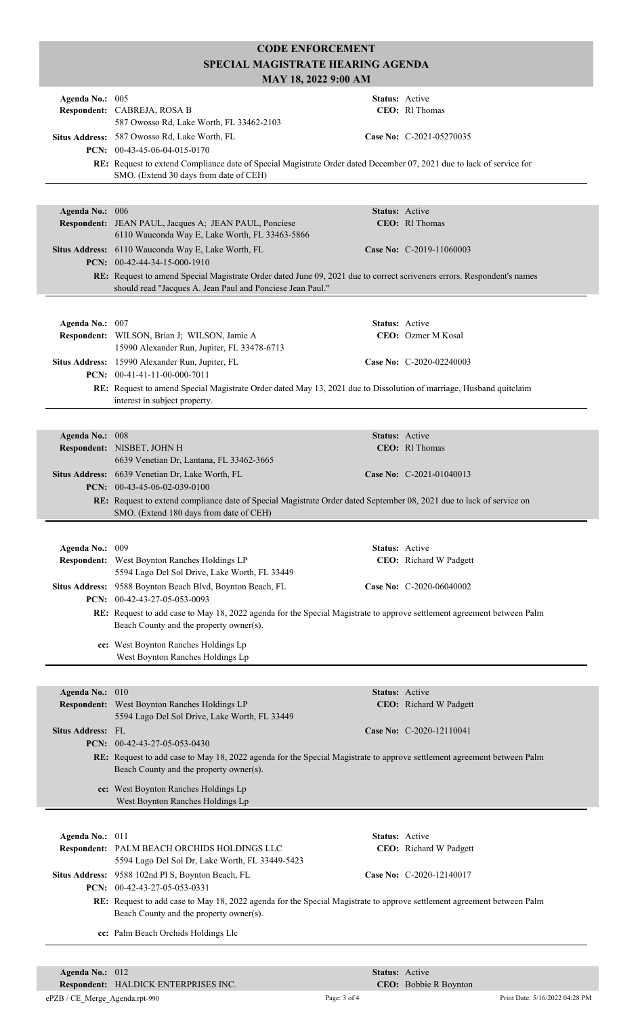| Agenda No.: 005          | Respondent: CABREJA, ROSA B<br>587 Owosso Rd, Lake Worth, FL 33462-2103                                                                                                                           | Status: Active | <b>CEO</b> : RI Thomas     |  |  |
|--------------------------|---------------------------------------------------------------------------------------------------------------------------------------------------------------------------------------------------|----------------|----------------------------|--|--|
|                          | Situs Address: 587 Owosso Rd, Lake Worth, FL<br>PCN: 00-43-45-06-04-015-0170                                                                                                                      |                | Case No: C-2021-05270035   |  |  |
|                          | RE: Request to extend Compliance date of Special Magistrate Order dated December 07, 2021 due to lack of service for<br>SMO. (Extend 30 days from date of CEH)                                    |                |                            |  |  |
|                          |                                                                                                                                                                                                   |                |                            |  |  |
| Agenda No.: 006          | Respondent: JEAN PAUL, Jacques A; JEAN PAUL, Ponciese<br>6110 Wauconda Way E, Lake Worth, FL 33463-5866                                                                                           | Status: Active | CEO: Rl Thomas             |  |  |
|                          | Situs Address: 6110 Wauconda Way E, Lake Worth, FL<br>PCN: 00-42-44-34-15-000-1910                                                                                                                |                | Case No: C-2019-11060003   |  |  |
|                          | RE: Request to amend Special Magistrate Order dated June 09, 2021 due to correct scriveners errors. Respondent's names<br>should read "Jacques A. Jean Paul and Ponciese Jean Paul."              |                |                            |  |  |
|                          |                                                                                                                                                                                                   |                |                            |  |  |
| Agenda No.: 007          | Respondent: WILSON, Brian J; WILSON, Jamie A                                                                                                                                                      | Status: Active | CEO: Ozmer M Kosal         |  |  |
|                          | 15990 Alexander Run, Jupiter, FL 33478-6713                                                                                                                                                       |                |                            |  |  |
|                          | Situs Address: 15990 Alexander Run, Jupiter, FL<br>PCN: $00-41-41-11-00-000-7011$                                                                                                                 |                | Case No: C-2020-02240003   |  |  |
|                          | RE: Request to amend Special Magistrate Order dated May 13, 2021 due to Dissolution of marriage, Husband quitclaim<br>interest in subject property.                                               |                |                            |  |  |
|                          |                                                                                                                                                                                                   |                |                            |  |  |
| Agenda No.: 008          |                                                                                                                                                                                                   | Status: Active |                            |  |  |
|                          | Respondent: NISBET, JOHN H<br>6639 Venetian Dr, Lantana, FL 33462-3665                                                                                                                            |                | CEO: RI Thomas             |  |  |
|                          | Situs Address: 6639 Venetian Dr, Lake Worth, FL<br>PCN: 00-43-45-06-02-039-0100                                                                                                                   |                | Case No: $C-2021-01040013$ |  |  |
|                          | RE: Request to extend compliance date of Special Magistrate Order dated September 08, 2021 due to lack of service on<br>SMO. (Extend 180 days from date of CEH)                                   |                |                            |  |  |
|                          |                                                                                                                                                                                                   |                |                            |  |  |
| Agenda No.: 009          | Respondent: West Boynton Ranches Holdings LP<br>5594 Lago Del Sol Drive, Lake Worth, FL 33449                                                                                                     | Status: Active | CEO: Richard W Padgett     |  |  |
|                          | Situs Address: 9588 Boynton Beach Blvd, Boynton Beach, FL<br>PCN: 00-42-43-27-05-053-0093                                                                                                         |                | Case No: C-2020-06040002   |  |  |
|                          | RE: Request to add case to May 18, 2022 agenda for the Special Magistrate to approve settlement agreement between Palm<br>Beach County and the property owner(s).                                 |                |                            |  |  |
|                          | cc: West Boynton Ranches Holdings Lp<br>West Boynton Ranches Holdings Lp                                                                                                                          |                |                            |  |  |
|                          |                                                                                                                                                                                                   |                |                            |  |  |
| Agenda No.: 010          |                                                                                                                                                                                                   | Status: Active |                            |  |  |
|                          | Respondent: West Boynton Ranches Holdings LP<br>5594 Lago Del Sol Drive, Lake Worth, FL 33449                                                                                                     |                | CEO: Richard W Padgett     |  |  |
| <b>Situs Address: FL</b> | PCN: 00-42-43-27-05-053-0430                                                                                                                                                                      |                | Case No: C-2020-12110041   |  |  |
|                          | RE: Request to add case to May 18, 2022 agenda for the Special Magistrate to approve settlement agreement between Palm<br>Beach County and the property owner(s).                                 |                |                            |  |  |
|                          | cc: West Boynton Ranches Holdings Lp<br>West Boynton Ranches Holdings Lp                                                                                                                          |                |                            |  |  |
|                          |                                                                                                                                                                                                   |                |                            |  |  |
| Agenda No.: 011          | Respondent: PALM BEACH ORCHIDS HOLDINGS LLC                                                                                                                                                       | Status: Active | CEO: Richard W Padgett     |  |  |
|                          | 5594 Lago Del Sol Dr, Lake Worth, FL 33449-5423<br>Situs Address: 9588 102nd Pl S, Boynton Beach, FL                                                                                              |                | Case No: C-2020-12140017   |  |  |
|                          | PCN: 00-42-43-27-05-053-0331<br>RE: Request to add case to May 18, 2022 agenda for the Special Magistrate to approve settlement agreement between Palm<br>Beach County and the property owner(s). |                |                            |  |  |
|                          |                                                                                                                                                                                                   |                |                            |  |  |
|                          | cc: Palm Beach Orchids Holdings Llc                                                                                                                                                               |                |                            |  |  |

**Respondent:** HALDICK ENTERPRISES INC. **Agenda No.:** 012 **Status:** Active

CEO: Bobbie R Boynton